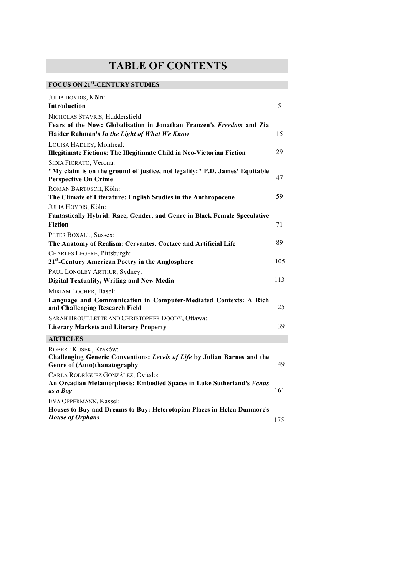## **TABLE OF CONTENTS**

## FOCUS ON 21<sup>st</sup>-CENTURY STUDIES

| JULIA HOYDIS, Köln:                                                                                                               |     |
|-----------------------------------------------------------------------------------------------------------------------------------|-----|
| <b>Introduction</b>                                                                                                               | 5   |
| NICHOLAS STAVRIS, Huddersfield:                                                                                                   |     |
| Fears of the Now: Globalisation in Jonathan Franzen's Freedom and Zia<br>Haider Rahman's In the Light of What We Know             | 15  |
| LOUISA HADLEY, Montreal:<br><b>Illegitimate Fictions: The Illegitimate Child in Neo-Victorian Fiction</b>                         | 29  |
|                                                                                                                                   |     |
| SIDIA FIORATO, Verona:<br>"My claim is on the ground of justice, not legality:" P.D. James' Equitable                             |     |
| <b>Perspective On Crime</b>                                                                                                       | 47  |
| ROMAN BARTOSCH, Köln:                                                                                                             |     |
| The Climate of Literature: English Studies in the Anthropocene                                                                    | 59  |
| JULIA HOYDIS, Köln:                                                                                                               |     |
| <b>Fantastically Hybrid: Race, Gender, and Genre in Black Female Speculative</b>                                                  |     |
| <b>Fiction</b>                                                                                                                    | 71  |
| PETER BOXALL, Sussex:                                                                                                             |     |
| The Anatomy of Realism: Cervantes, Coetzee and Artificial Life                                                                    | 89  |
| CHARLES LEGERE, Pittsburgh:                                                                                                       |     |
| 21 <sup>st</sup> -Century American Poetry in the Anglosphere                                                                      | 105 |
| PAUL LONGLEY ARTHUR, Sydney:                                                                                                      |     |
| <b>Digital Textuality, Writing and New Media</b>                                                                                  | 113 |
| MIRIAM LOCHER, Basel:                                                                                                             |     |
| Language and Communication in Computer-Mediated Contexts: A Rich<br>and Challenging Research Field                                | 125 |
| SARAH BROUILLETTE AND CHRISTOPHER DOODY, Ottawa:                                                                                  |     |
| <b>Literary Markets and Literary Property</b>                                                                                     | 139 |
| <b>ARTICLES</b>                                                                                                                   |     |
| ROBERT KUSEK, Kraków:<br>Challenging Generic Conventions: Levels of Life by Julian Barnes and the<br>Genre of (Auto)thanatography | 149 |
| CARLA RODRÍGUEZ GONZÁLEZ, Oviedo:<br>An Orcadian Metamorphosis: Embodied Spaces in Luke Sutherland's Venus<br>as a Boy            | 161 |
| EVA OPPERMANN, Kassel:                                                                                                            |     |
| Houses to Buy and Dreams to Buy: Heterotopian Places in Helen Dunmore's<br><b>House of Orphans</b>                                | 175 |